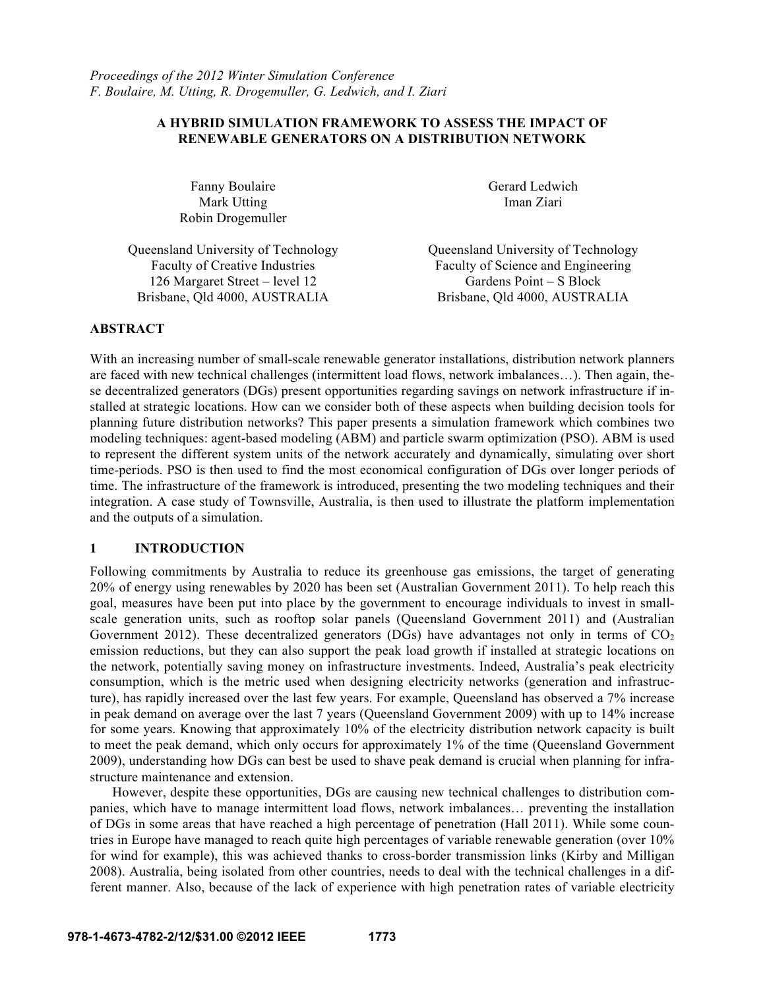# **A HYBRID SIMULATION FRAMEWORK TO ASSESS THE IMPACT OF RENEWABLE GENERATORS ON A DISTRIBUTION NETWORK**

Fanny Boulaire Mark Utting Robin Drogemuller Gerard Ledwich Iman Ziari

| Queensland University of Technology   | Queensland University of Technology |
|---------------------------------------|-------------------------------------|
| <b>Faculty of Creative Industries</b> | Faculty of Science and Engineering  |
| 126 Margaret Street – level 12        | Gardens Point $- S$ Block           |
| Brisbane, Qld 4000, AUSTRALIA         | Brisbane, Qld 4000, AUSTRALIA       |

## **ABSTRACT**

With an increasing number of small-scale renewable generator installations, distribution network planners are faced with new technical challenges (intermittent load flows, network imbalances…). Then again, these decentralized generators (DGs) present opportunities regarding savings on network infrastructure if installed at strategic locations. How can we consider both of these aspects when building decision tools for planning future distribution networks? This paper presents a simulation framework which combines two modeling techniques: agent-based modeling (ABM) and particle swarm optimization (PSO). ABM is used to represent the different system units of the network accurately and dynamically, simulating over short time-periods. PSO is then used to find the most economical configuration of DGs over longer periods of time. The infrastructure of the framework is introduced, presenting the two modeling techniques and their integration. A case study of Townsville, Australia, is then used to illustrate the platform implementation and the outputs of a simulation.

### **1 INTRODUCTION**

Following commitments by Australia to reduce its greenhouse gas emissions, the target of generating 20% of energy using renewables by 2020 has been set (Australian Government 2011). To help reach this goal, measures have been put into place by the government to encourage individuals to invest in smallscale generation units, such as rooftop solar panels (Queensland Government 2011) and (Australian Government 2012). These decentralized generators (DGs) have advantages not only in terms of  $CO<sub>2</sub>$ emission reductions, but they can also support the peak load growth if installed at strategic locations on the network, potentially saving money on infrastructure investments. Indeed, Australia's peak electricity consumption, which is the metric used when designing electricity networks (generation and infrastructure), has rapidly increased over the last few years. For example, Queensland has observed a 7% increase in peak demand on average over the last 7 years (Queensland Government 2009) with up to 14% increase for some years. Knowing that approximately 10% of the electricity distribution network capacity is built to meet the peak demand, which only occurs for approximately 1% of the time (Queensland Government 2009), understanding how DGs can best be used to shave peak demand is crucial when planning for infrastructure maintenance and extension.

 However, despite these opportunities, DGs are causing new technical challenges to distribution companies, which have to manage intermittent load flows, network imbalances… preventing the installation of DGs in some areas that have reached a high percentage of penetration (Hall 2011). While some countries in Europe have managed to reach quite high percentages of variable renewable generation (over 10% for wind for example), this was achieved thanks to cross-border transmission links (Kirby and Milligan 2008). Australia, being isolated from other countries, needs to deal with the technical challenges in a different manner. Also, because of the lack of experience with high penetration rates of variable electricity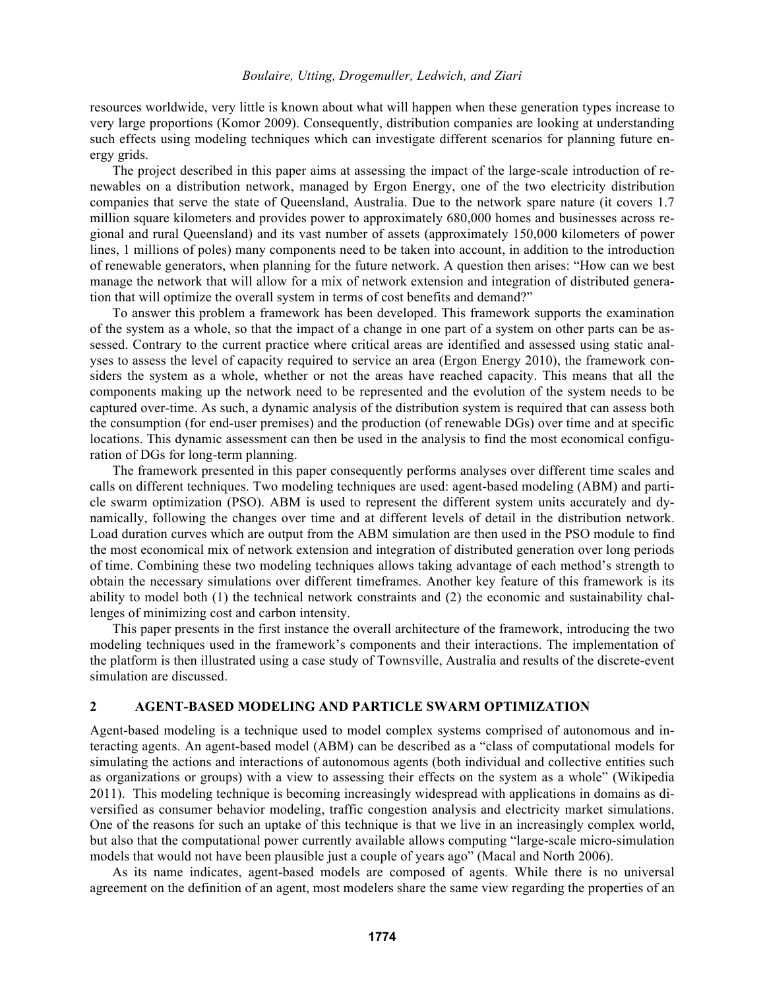resources worldwide, very little is known about what will happen when these generation types increase to very large proportions (Komor 2009). Consequently, distribution companies are looking at understanding such effects using modeling techniques which can investigate different scenarios for planning future energy grids.

 The project described in this paper aims at assessing the impact of the large-scale introduction of renewables on a distribution network, managed by Ergon Energy, one of the two electricity distribution companies that serve the state of Queensland, Australia. Due to the network spare nature (it covers 1.7 million square kilometers and provides power to approximately 680,000 homes and businesses across regional and rural Queensland) and its vast number of assets (approximately 150,000 kilometers of power lines, 1 millions of poles) many components need to be taken into account, in addition to the introduction of renewable generators, when planning for the future network. A question then arises: "How can we best manage the network that will allow for a mix of network extension and integration of distributed generation that will optimize the overall system in terms of cost benefits and demand?"

 To answer this problem a framework has been developed. This framework supports the examination of the system as a whole, so that the impact of a change in one part of a system on other parts can be assessed. Contrary to the current practice where critical areas are identified and assessed using static analyses to assess the level of capacity required to service an area (Ergon Energy 2010), the framework considers the system as a whole, whether or not the areas have reached capacity. This means that all the components making up the network need to be represented and the evolution of the system needs to be captured over-time. As such, a dynamic analysis of the distribution system is required that can assess both the consumption (for end-user premises) and the production (of renewable DGs) over time and at specific locations. This dynamic assessment can then be used in the analysis to find the most economical configuration of DGs for long-term planning.

The framework presented in this paper consequently performs analyses over different time scales and calls on different techniques. Two modeling techniques are used: agent-based modeling (ABM) and particle swarm optimization (PSO). ABM is used to represent the different system units accurately and dynamically, following the changes over time and at different levels of detail in the distribution network. Load duration curves which are output from the ABM simulation are then used in the PSO module to find the most economical mix of network extension and integration of distributed generation over long periods of time. Combining these two modeling techniques allows taking advantage of each method's strength to obtain the necessary simulations over different timeframes. Another key feature of this framework is its ability to model both (1) the technical network constraints and (2) the economic and sustainability challenges of minimizing cost and carbon intensity.

This paper presents in the first instance the overall architecture of the framework, introducing the two modeling techniques used in the framework's components and their interactions. The implementation of the platform is then illustrated using a case study of Townsville, Australia and results of the discrete-event simulation are discussed.

#### **2 AGENT-BASED MODELING AND PARTICLE SWARM OPTIMIZATION**

Agent-based modeling is a technique used to model complex systems comprised of autonomous and interacting agents. An agent-based model (ABM) can be described as a "class of computational models for simulating the actions and interactions of autonomous agents (both individual and collective entities such as organizations or groups) with a view to assessing their effects on the system as a whole" (Wikipedia 2011). This modeling technique is becoming increasingly widespread with applications in domains as diversified as consumer behavior modeling, traffic congestion analysis and electricity market simulations. One of the reasons for such an uptake of this technique is that we live in an increasingly complex world, but also that the computational power currently available allows computing "large-scale micro-simulation models that would not have been plausible just a couple of years ago" (Macal and North 2006).

 As its name indicates, agent-based models are composed of agents. While there is no universal agreement on the definition of an agent, most modelers share the same view regarding the properties of an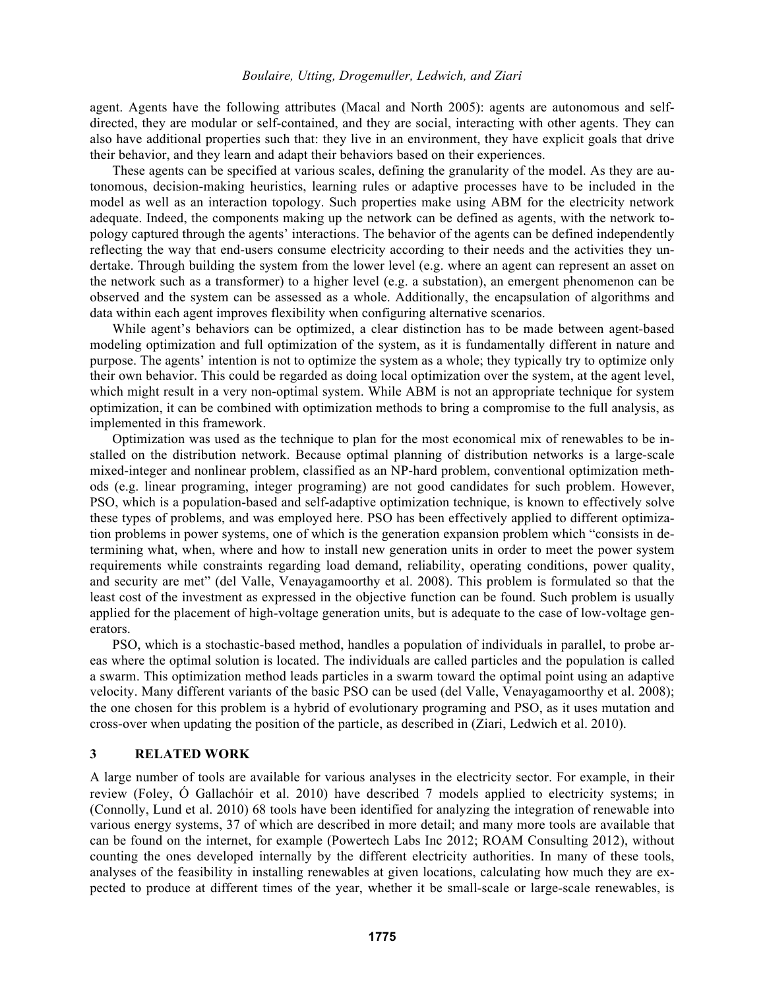agent. Agents have the following attributes (Macal and North 2005): agents are autonomous and selfdirected, they are modular or self-contained, and they are social, interacting with other agents. They can also have additional properties such that: they live in an environment, they have explicit goals that drive their behavior, and they learn and adapt their behaviors based on their experiences.

 These agents can be specified at various scales, defining the granularity of the model. As they are autonomous, decision-making heuristics, learning rules or adaptive processes have to be included in the model as well as an interaction topology. Such properties make using ABM for the electricity network adequate. Indeed, the components making up the network can be defined as agents, with the network topology captured through the agents' interactions. The behavior of the agents can be defined independently reflecting the way that end-users consume electricity according to their needs and the activities they undertake. Through building the system from the lower level (e.g. where an agent can represent an asset on the network such as a transformer) to a higher level (e.g. a substation), an emergent phenomenon can be observed and the system can be assessed as a whole. Additionally, the encapsulation of algorithms and data within each agent improves flexibility when configuring alternative scenarios.

 While agent's behaviors can be optimized, a clear distinction has to be made between agent-based modeling optimization and full optimization of the system, as it is fundamentally different in nature and purpose. The agents' intention is not to optimize the system as a whole; they typically try to optimize only their own behavior. This could be regarded as doing local optimization over the system, at the agent level, which might result in a very non-optimal system. While ABM is not an appropriate technique for system optimization, it can be combined with optimization methods to bring a compromise to the full analysis, as implemented in this framework.

 Optimization was used as the technique to plan for the most economical mix of renewables to be installed on the distribution network. Because optimal planning of distribution networks is a large-scale mixed-integer and nonlinear problem, classified as an NP-hard problem, conventional optimization methods (e.g. linear programing, integer programing) are not good candidates for such problem. However, PSO, which is a population-based and self-adaptive optimization technique, is known to effectively solve these types of problems, and was employed here. PSO has been effectively applied to different optimization problems in power systems, one of which is the generation expansion problem which "consists in determining what, when, where and how to install new generation units in order to meet the power system requirements while constraints regarding load demand, reliability, operating conditions, power quality, and security are met" (del Valle, Venayagamoorthy et al. 2008). This problem is formulated so that the least cost of the investment as expressed in the objective function can be found. Such problem is usually applied for the placement of high-voltage generation units, but is adequate to the case of low-voltage generators.

 PSO, which is a stochastic-based method, handles a population of individuals in parallel, to probe areas where the optimal solution is located. The individuals are called particles and the population is called a swarm. This optimization method leads particles in a swarm toward the optimal point using an adaptive velocity. Many different variants of the basic PSO can be used (del Valle, Venayagamoorthy et al. 2008); the one chosen for this problem is a hybrid of evolutionary programing and PSO, as it uses mutation and cross-over when updating the position of the particle, as described in (Ziari, Ledwich et al. 2010).

#### **3 RELATED WORK**

A large number of tools are available for various analyses in the electricity sector. For example, in their review (Foley, Ó Gallachóir et al. 2010) have described 7 models applied to electricity systems; in (Connolly, Lund et al. 2010) 68 tools have been identified for analyzing the integration of renewable into various energy systems, 37 of which are described in more detail; and many more tools are available that can be found on the internet, for example (Powertech Labs Inc 2012; ROAM Consulting 2012), without counting the ones developed internally by the different electricity authorities. In many of these tools, analyses of the feasibility in installing renewables at given locations, calculating how much they are expected to produce at different times of the year, whether it be small-scale or large-scale renewables, is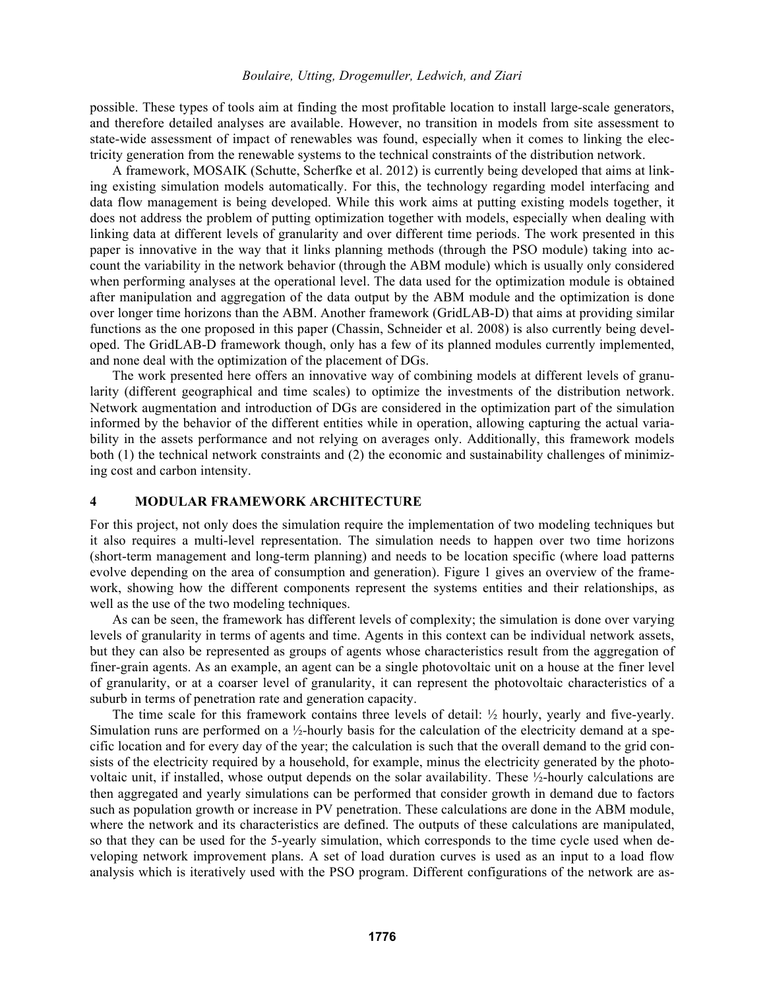possible. These types of tools aim at finding the most profitable location to install large-scale generators, and therefore detailed analyses are available. However, no transition in models from site assessment to state-wide assessment of impact of renewables was found, especially when it comes to linking the electricity generation from the renewable systems to the technical constraints of the distribution network.

A framework, MOSAIK (Schutte, Scherfke et al. 2012) is currently being developed that aims at linking existing simulation models automatically. For this, the technology regarding model interfacing and data flow management is being developed. While this work aims at putting existing models together, it does not address the problem of putting optimization together with models, especially when dealing with linking data at different levels of granularity and over different time periods. The work presented in this paper is innovative in the way that it links planning methods (through the PSO module) taking into account the variability in the network behavior (through the ABM module) which is usually only considered when performing analyses at the operational level. The data used for the optimization module is obtained after manipulation and aggregation of the data output by the ABM module and the optimization is done over longer time horizons than the ABM. Another framework (GridLAB-D) that aims at providing similar functions as the one proposed in this paper (Chassin, Schneider et al. 2008) is also currently being developed. The GridLAB-D framework though, only has a few of its planned modules currently implemented, and none deal with the optimization of the placement of DGs.

The work presented here offers an innovative way of combining models at different levels of granularity (different geographical and time scales) to optimize the investments of the distribution network. Network augmentation and introduction of DGs are considered in the optimization part of the simulation informed by the behavior of the different entities while in operation, allowing capturing the actual variability in the assets performance and not relying on averages only. Additionally, this framework models both (1) the technical network constraints and (2) the economic and sustainability challenges of minimizing cost and carbon intensity.

## **4 MODULAR FRAMEWORK ARCHITECTURE**

For this project, not only does the simulation require the implementation of two modeling techniques but it also requires a multi-level representation. The simulation needs to happen over two time horizons (short-term management and long-term planning) and needs to be location specific (where load patterns evolve depending on the area of consumption and generation). Figure 1 gives an overview of the framework, showing how the different components represent the systems entities and their relationships, as well as the use of the two modeling techniques.

 As can be seen, the framework has different levels of complexity; the simulation is done over varying levels of granularity in terms of agents and time. Agents in this context can be individual network assets, but they can also be represented as groups of agents whose characteristics result from the aggregation of finer-grain agents. As an example, an agent can be a single photovoltaic unit on a house at the finer level of granularity, or at a coarser level of granularity, it can represent the photovoltaic characteristics of a suburb in terms of penetration rate and generation capacity.

 The time scale for this framework contains three levels of detail: ½ hourly, yearly and five-yearly. Simulation runs are performed on a  $\frac{1}{2}$ -hourly basis for the calculation of the electricity demand at a specific location and for every day of the year; the calculation is such that the overall demand to the grid consists of the electricity required by a household, for example, minus the electricity generated by the photovoltaic unit, if installed, whose output depends on the solar availability. These ½-hourly calculations are then aggregated and yearly simulations can be performed that consider growth in demand due to factors such as population growth or increase in PV penetration. These calculations are done in the ABM module, where the network and its characteristics are defined. The outputs of these calculations are manipulated, so that they can be used for the 5-yearly simulation, which corresponds to the time cycle used when developing network improvement plans. A set of load duration curves is used as an input to a load flow analysis which is iteratively used with the PSO program. Different configurations of the network are as-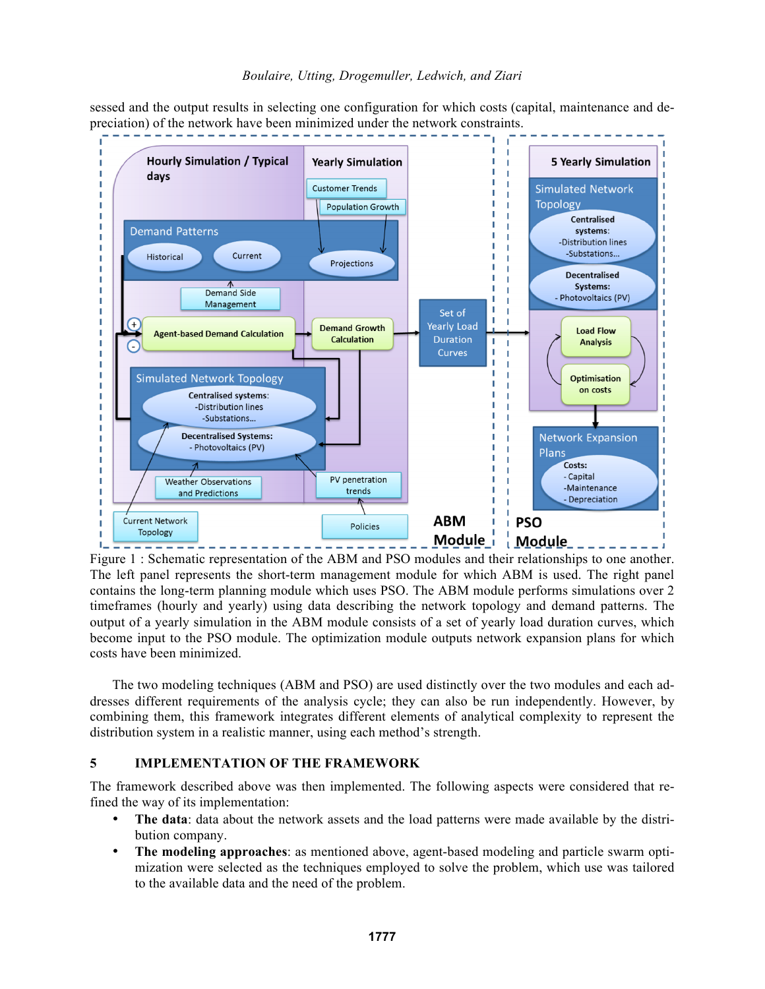sessed and the output results in selecting one configuration for which costs (capital, maintenance and depreciation) of the network have been minimized under the network constraints.



Figure 1 : Schematic representation of the ABM and PSO modules and their relationships to one another. The left panel represents the short-term management module for which ABM is used. The right panel contains the long-term planning module which uses PSO. The ABM module performs simulations over 2 timeframes (hourly and yearly) using data describing the network topology and demand patterns. The output of a yearly simulation in the ABM module consists of a set of yearly load duration curves, which become input to the PSO module. The optimization module outputs network expansion plans for which costs have been minimized.

 The two modeling techniques (ABM and PSO) are used distinctly over the two modules and each addresses different requirements of the analysis cycle; they can also be run independently. However, by combining them, this framework integrates different elements of analytical complexity to represent the distribution system in a realistic manner, using each method's strength.

# **5 IMPLEMENTATION OF THE FRAMEWORK**

The framework described above was then implemented. The following aspects were considered that refined the way of its implementation:

- **The data**: data about the network assets and the load patterns were made available by the distribution company.
- **The modeling approaches**: as mentioned above, agent-based modeling and particle swarm optimization were selected as the techniques employed to solve the problem, which use was tailored to the available data and the need of the problem.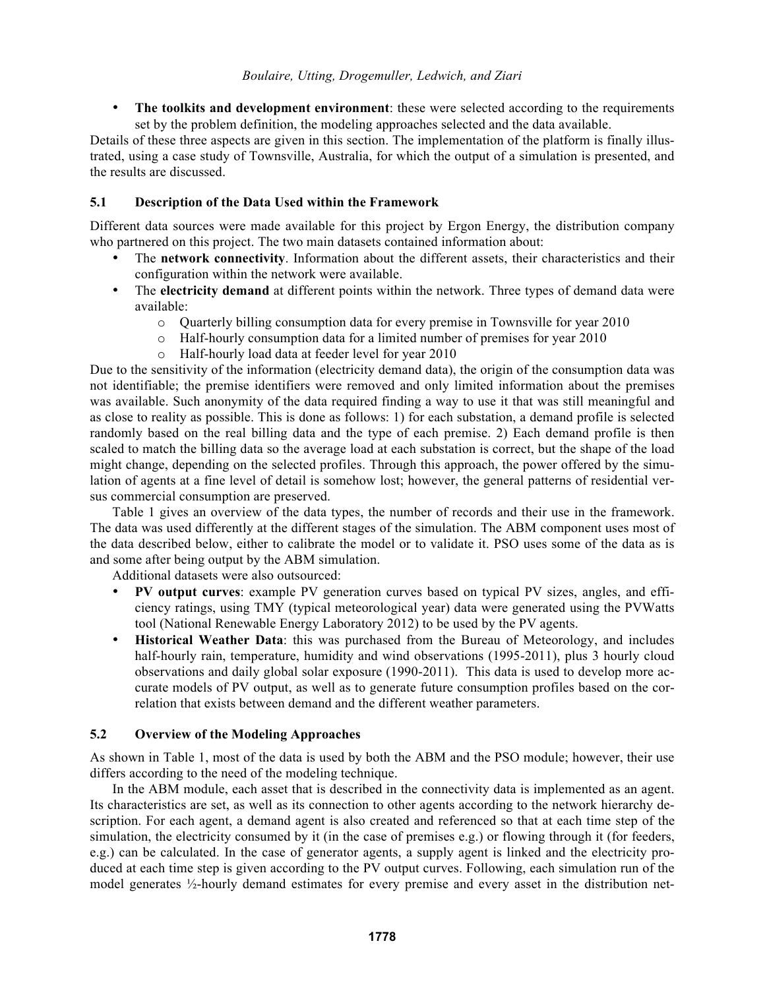• **The toolkits and development environment**: these were selected according to the requirements set by the problem definition, the modeling approaches selected and the data available.

Details of these three aspects are given in this section. The implementation of the platform is finally illustrated, using a case study of Townsville, Australia, for which the output of a simulation is presented, and the results are discussed.

# **5.1 Description of the Data Used within the Framework**

Different data sources were made available for this project by Ergon Energy, the distribution company who partnered on this project. The two main datasets contained information about:

- The **network connectivity**. Information about the different assets, their characteristics and their configuration within the network were available.
- The **electricity demand** at different points within the network. Three types of demand data were available:
	- o Quarterly billing consumption data for every premise in Townsville for year 2010
	- o Half-hourly consumption data for a limited number of premises for year 2010
	- o Half-hourly load data at feeder level for year 2010

Due to the sensitivity of the information (electricity demand data), the origin of the consumption data was not identifiable; the premise identifiers were removed and only limited information about the premises was available. Such anonymity of the data required finding a way to use it that was still meaningful and as close to reality as possible. This is done as follows: 1) for each substation, a demand profile is selected randomly based on the real billing data and the type of each premise. 2) Each demand profile is then scaled to match the billing data so the average load at each substation is correct, but the shape of the load might change, depending on the selected profiles. Through this approach, the power offered by the simulation of agents at a fine level of detail is somehow lost; however, the general patterns of residential versus commercial consumption are preserved.

 Table 1 gives an overview of the data types, the number of records and their use in the framework. The data was used differently at the different stages of the simulation. The ABM component uses most of the data described below, either to calibrate the model or to validate it. PSO uses some of the data as is and some after being output by the ABM simulation.

Additional datasets were also outsourced:

- **PV output curves**: example PV generation curves based on typical PV sizes, angles, and efficiency ratings, using TMY (typical meteorological year) data were generated using the PVWatts tool (National Renewable Energy Laboratory 2012) to be used by the PV agents.
- **Historical Weather Data**: this was purchased from the Bureau of Meteorology, and includes half-hourly rain, temperature, humidity and wind observations (1995-2011), plus 3 hourly cloud observations and daily global solar exposure (1990-2011). This data is used to develop more accurate models of PV output, as well as to generate future consumption profiles based on the correlation that exists between demand and the different weather parameters.

# **5.2 Overview of the Modeling Approaches**

As shown in Table 1, most of the data is used by both the ABM and the PSO module; however, their use differs according to the need of the modeling technique.

 In the ABM module, each asset that is described in the connectivity data is implemented as an agent. Its characteristics are set, as well as its connection to other agents according to the network hierarchy description. For each agent, a demand agent is also created and referenced so that at each time step of the simulation, the electricity consumed by it (in the case of premises e.g.) or flowing through it (for feeders, e.g.) can be calculated. In the case of generator agents, a supply agent is linked and the electricity produced at each time step is given according to the PV output curves. Following, each simulation run of the model generates ½-hourly demand estimates for every premise and every asset in the distribution net-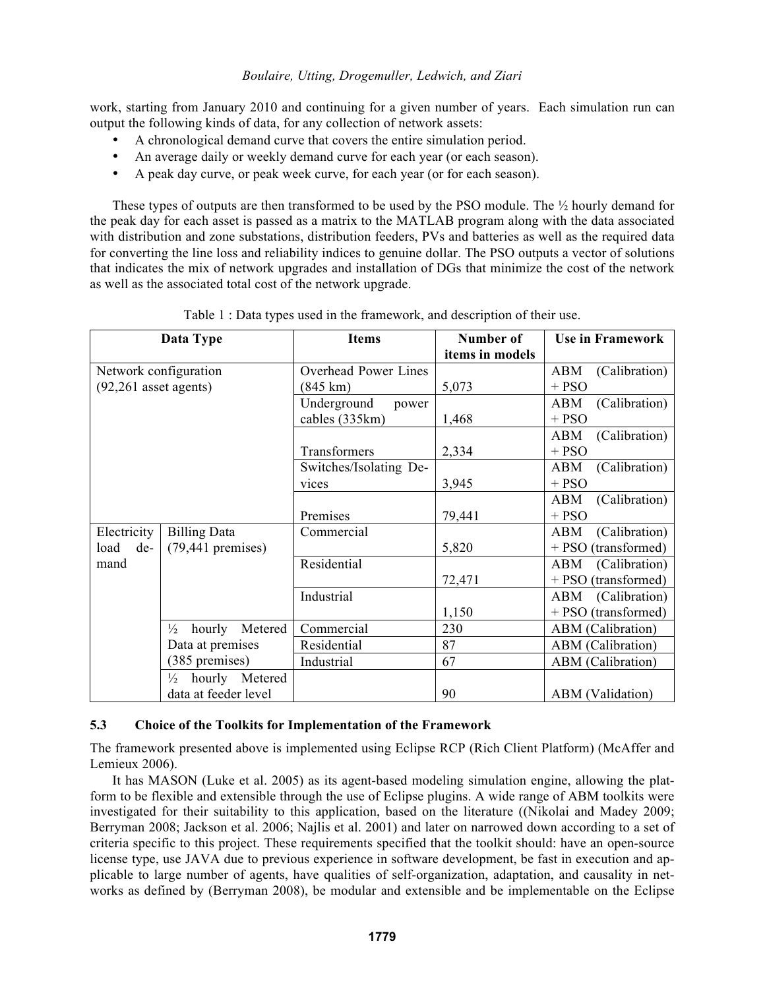work, starting from January 2010 and continuing for a given number of years. Each simulation run can output the following kinds of data, for any collection of network assets:

- A chronological demand curve that covers the entire simulation period.
- An average daily or weekly demand curve for each year (or each season).
- A peak day curve, or peak week curve, for each year (or for each season).

These types of outputs are then transformed to be used by the PSO module. The  $\frac{1}{2}$  hourly demand for the peak day for each asset is passed as a matrix to the MATLAB program along with the data associated with distribution and zone substations, distribution feeders, PVs and batteries as well as the required data for converting the line loss and reliability indices to genuine dollar. The PSO outputs a vector of solutions that indicates the mix of network upgrades and installation of DGs that minimize the cost of the network as well as the associated total cost of the network upgrade.

|                         | Data Type                          | <b>Items</b>           | Number of       | <b>Use in Framework</b>     |
|-------------------------|------------------------------------|------------------------|-----------------|-----------------------------|
|                         |                                    |                        | items in models |                             |
| Network configuration   |                                    | Overhead Power Lines   |                 | (Calibration)<br>ABM        |
| $(92,261$ asset agents) |                                    | $(845 \text{ km})$     | 5,073           | $+ PSO$                     |
|                         |                                    | Underground<br>power   |                 | (Calibration)<br>ABM        |
|                         |                                    | cables (335km)         | 1,468           | $+ PSO$                     |
|                         |                                    |                        |                 | (Calibration)<br>ABM        |
|                         |                                    | Transformers           | 2,334           | $+ PSO$                     |
|                         |                                    | Switches/Isolating De- |                 | (Calibration)<br>ABM        |
|                         |                                    | vices                  | 3,945           | $+ PSO$                     |
|                         |                                    |                        |                 | (Calibration)<br><b>ABM</b> |
|                         |                                    | Premises               | 79,441          | $+$ PSO                     |
| Electricity             | <b>Billing Data</b>                | Commercial             |                 | (Calibration)<br>ABM        |
| de-<br>load             | $(79, 441$ premises)               |                        | 5,820           | (transformed)<br>$+ PSO$    |
| mand                    |                                    | Residential            |                 | ABM<br>(Calibration)        |
|                         |                                    |                        | 72,471          | + PSO (transformed)         |
|                         |                                    | Industrial             |                 | (Calibration)<br>ABM        |
|                         |                                    |                        | 1,150           | + PSO (transformed)         |
|                         | $\frac{1}{2}$<br>hourly<br>Metered | Commercial             | 230             | ABM (Calibration)           |
|                         | Data at premises                   | Residential            | 87              | <b>ABM</b> (Calibration)    |
|                         | (385 premises)                     | Industrial             | 67              | ABM (Calibration)           |
|                         | hourly Metered<br>$\frac{1}{2}$    |                        |                 |                             |
|                         | data at feeder level               |                        | 90              | ABM (Validation)            |

Table 1 : Data types used in the framework, and description of their use.

# **5.3 Choice of the Toolkits for Implementation of the Framework**

The framework presented above is implemented using Eclipse RCP (Rich Client Platform) (McAffer and Lemieux 2006).

 It has MASON (Luke et al. 2005) as its agent-based modeling simulation engine, allowing the platform to be flexible and extensible through the use of Eclipse plugins. A wide range of ABM toolkits were investigated for their suitability to this application, based on the literature ((Nikolai and Madey 2009; Berryman 2008; Jackson et al. 2006; Najlis et al. 2001) and later on narrowed down according to a set of criteria specific to this project. These requirements specified that the toolkit should: have an open-source license type, use JAVA due to previous experience in software development, be fast in execution and applicable to large number of agents, have qualities of self-organization, adaptation, and causality in networks as defined by (Berryman 2008), be modular and extensible and be implementable on the Eclipse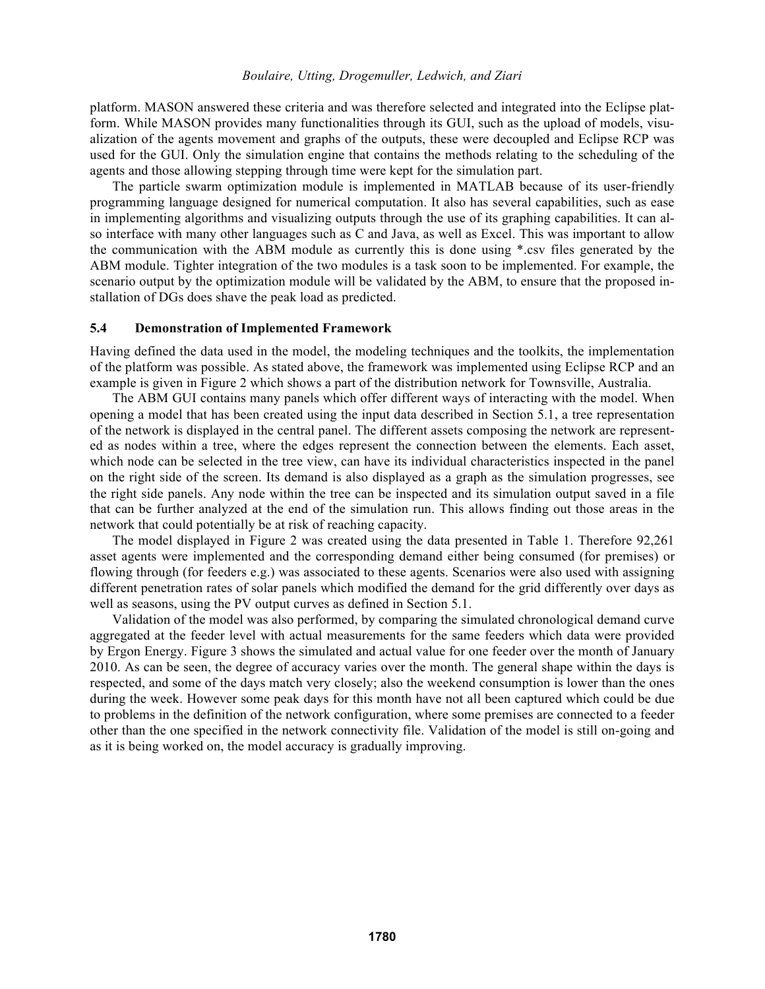platform. MASON answered these criteria and was therefore selected and integrated into the Eclipse platform. While MASON provides many functionalities through its GUI, such as the upload of models, visualization of the agents movement and graphs of the outputs, these were decoupled and Eclipse RCP was used for the GUI. Only the simulation engine that contains the methods relating to the scheduling of the agents and those allowing stepping through time were kept for the simulation part.

 The particle swarm optimization module is implemented in MATLAB because of its user-friendly programming language designed for numerical computation. It also has several capabilities, such as ease in implementing algorithms and visualizing outputs through the use of its graphing capabilities. It can also interface with many other languages such as C and Java, as well as Excel. This was important to allow the communication with the ABM module as currently this is done using \*.csv files generated by the ABM module. Tighter integration of the two modules is a task soon to be implemented. For example, the scenario output by the optimization module will be validated by the ABM, to ensure that the proposed installation of DGs does shave the peak load as predicted.

#### **5.4 Demonstration of Implemented Framework**

Having defined the data used in the model, the modeling techniques and the toolkits, the implementation of the platform was possible. As stated above, the framework was implemented using Eclipse RCP and an example is given in Figure 2 which shows a part of the distribution network for Townsville, Australia.

 The ABM GUI contains many panels which offer different ways of interacting with the model. When opening a model that has been created using the input data described in Section 5.1, a tree representation of the network is displayed in the central panel. The different assets composing the network are represented as nodes within a tree, where the edges represent the connection between the elements. Each asset, which node can be selected in the tree view, can have its individual characteristics inspected in the panel on the right side of the screen. Its demand is also displayed as a graph as the simulation progresses, see the right side panels. Any node within the tree can be inspected and its simulation output saved in a file that can be further analyzed at the end of the simulation run. This allows finding out those areas in the network that could potentially be at risk of reaching capacity.

The model displayed in Figure 2 was created using the data presented in Table 1. Therefore 92,261 asset agents were implemented and the corresponding demand either being consumed (for premises) or flowing through (for feeders e.g.) was associated to these agents. Scenarios were also used with assigning different penetration rates of solar panels which modified the demand for the grid differently over days as well as seasons, using the PV output curves as defined in Section 5.1.

 Validation of the model was also performed, by comparing the simulated chronological demand curve aggregated at the feeder level with actual measurements for the same feeders which data were provided by Ergon Energy. Figure 3 shows the simulated and actual value for one feeder over the month of January 2010. As can be seen, the degree of accuracy varies over the month. The general shape within the days is respected, and some of the days match very closely; also the weekend consumption is lower than the ones during the week. However some peak days for this month have not all been captured which could be due to problems in the definition of the network configuration, where some premises are connected to a feeder other than the one specified in the network connectivity file. Validation of the model is still on-going and as it is being worked on, the model accuracy is gradually improving.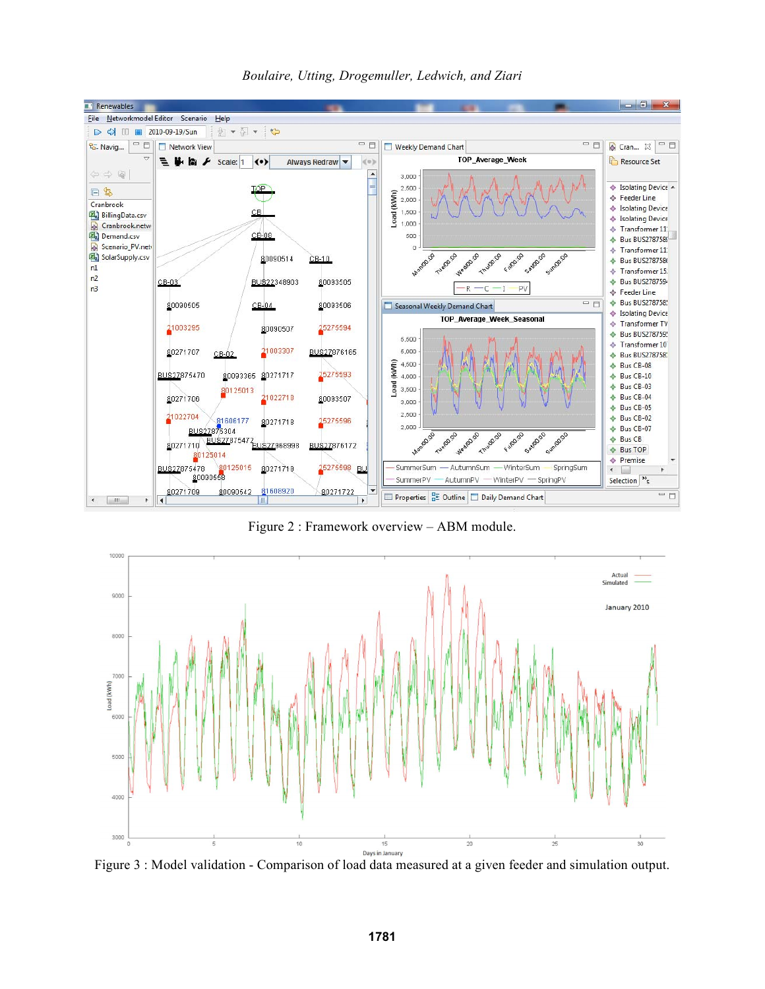

*Boulaire, Utting, Drogemuller, Ledwich, and Ziari* 

Figure 2 : Framework overview – ABM module.



Figure 3 : Model validation - Comparison of load data measured at a given feeder and simulation output.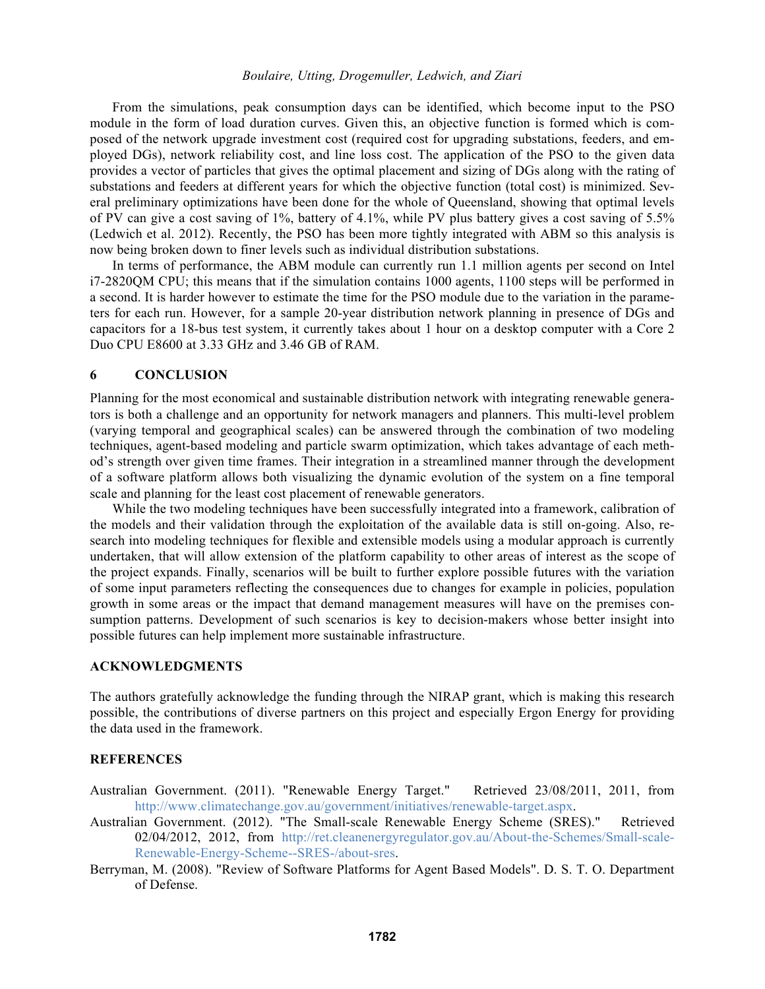From the simulations, peak consumption days can be identified, which become input to the PSO module in the form of load duration curves. Given this, an objective function is formed which is composed of the network upgrade investment cost (required cost for upgrading substations, feeders, and employed DGs), network reliability cost, and line loss cost. The application of the PSO to the given data provides a vector of particles that gives the optimal placement and sizing of DGs along with the rating of substations and feeders at different years for which the objective function (total cost) is minimized. Several preliminary optimizations have been done for the whole of Queensland, showing that optimal levels of PV can give a cost saving of 1%, battery of 4.1%, while PV plus battery gives a cost saving of 5.5% (Ledwich et al. 2012). Recently, the PSO has been more tightly integrated with ABM so this analysis is now being broken down to finer levels such as individual distribution substations.

 In terms of performance, the ABM module can currently run 1.1 million agents per second on Intel i7-2820QM CPU; this means that if the simulation contains 1000 agents, 1100 steps will be performed in a second. It is harder however to estimate the time for the PSO module due to the variation in the parameters for each run. However, for a sample 20-year distribution network planning in presence of DGs and capacitors for a 18-bus test system, it currently takes about 1 hour on a desktop computer with a Core 2 Duo CPU E8600 at 3.33 GHz and 3.46 GB of RAM.

### **6 CONCLUSION**

Planning for the most economical and sustainable distribution network with integrating renewable generators is both a challenge and an opportunity for network managers and planners. This multi-level problem (varying temporal and geographical scales) can be answered through the combination of two modeling techniques, agent-based modeling and particle swarm optimization, which takes advantage of each method's strength over given time frames. Their integration in a streamlined manner through the development of a software platform allows both visualizing the dynamic evolution of the system on a fine temporal scale and planning for the least cost placement of renewable generators.

 While the two modeling techniques have been successfully integrated into a framework, calibration of the models and their validation through the exploitation of the available data is still on-going. Also, research into modeling techniques for flexible and extensible models using a modular approach is currently undertaken, that will allow extension of the platform capability to other areas of interest as the scope of the project expands. Finally, scenarios will be built to further explore possible futures with the variation of some input parameters reflecting the consequences due to changes for example in policies, population growth in some areas or the impact that demand management measures will have on the premises consumption patterns. Development of such scenarios is key to decision-makers whose better insight into possible futures can help implement more sustainable infrastructure.

#### **ACKNOWLEDGMENTS**

The authors gratefully acknowledge the funding through the NIRAP grant, which is making this research possible, the contributions of diverse partners on this project and especially Ergon Energy for providing the data used in the framework.

### **REFERENCES**

- Australian Government. (2011). "Renewable Energy Target." Retrieved 23/08/2011, 2011, from http://www.climatechange.gov.au/government/initiatives/renewable-target.aspx.
- Australian Government. (2012). "The Small-scale Renewable Energy Scheme (SRES)." Retrieved 02/04/2012, 2012, from http://ret.cleanenergyregulator.gov.au/About-the-Schemes/Small-scale-Renewable-Energy-Scheme--SRES-/about-sres.
- Berryman, M. (2008). "Review of Software Platforms for Agent Based Models". D. S. T. O. Department of Defense.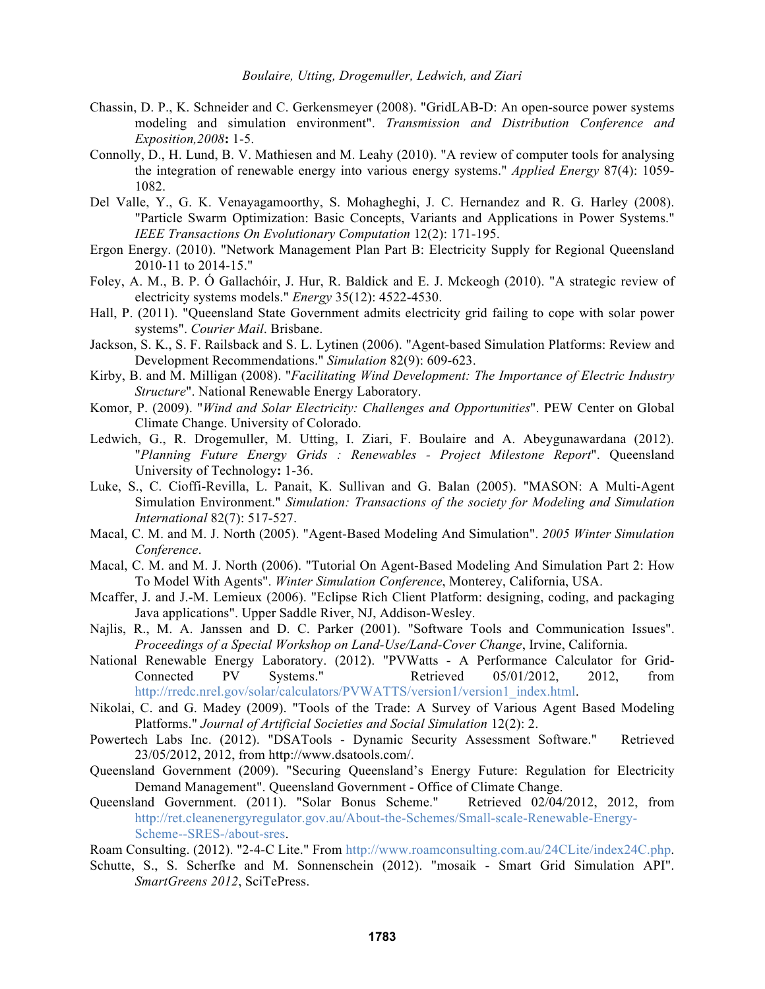- Chassin, D. P., K. Schneider and C. Gerkensmeyer (2008). "GridLAB-D: An open-source power systems modeling and simulation environment". *Transmission and Distribution Conference and Exposition,2008***:** 1-5.
- Connolly, D., H. Lund, B. V. Mathiesen and M. Leahy (2010). "A review of computer tools for analysing the integration of renewable energy into various energy systems." *Applied Energy* 87(4): 1059- 1082.
- Del Valle, Y., G. K. Venayagamoorthy, S. Mohagheghi, J. C. Hernandez and R. G. Harley (2008). "Particle Swarm Optimization: Basic Concepts, Variants and Applications in Power Systems." *IEEE Transactions On Evolutionary Computation* 12(2): 171-195.
- Ergon Energy. (2010). "Network Management Plan Part B: Electricity Supply for Regional Queensland 2010-11 to 2014-15."
- Foley, A. M., B. P. Ó Gallachóir, J. Hur, R. Baldick and E. J. Mckeogh (2010). "A strategic review of electricity systems models." *Energy* 35(12): 4522-4530.
- Hall, P. (2011). "Queensland State Government admits electricity grid failing to cope with solar power systems". *Courier Mail*. Brisbane.
- Jackson, S. K., S. F. Railsback and S. L. Lytinen (2006). "Agent-based Simulation Platforms: Review and Development Recommendations." *Simulation* 82(9): 609-623.
- Kirby, B. and M. Milligan (2008). "*Facilitating Wind Development: The Importance of Electric Industry Structure*". National Renewable Energy Laboratory.
- Komor, P. (2009). "*Wind and Solar Electricity: Challenges and Opportunities*". PEW Center on Global Climate Change. University of Colorado.
- Ledwich, G., R. Drogemuller, M. Utting, I. Ziari, F. Boulaire and A. Abeygunawardana (2012). "*Planning Future Energy Grids : Renewables - Project Milestone Report*". Queensland University of Technology**:** 1-36.
- Luke, S., C. Cioffi-Revilla, L. Panait, K. Sullivan and G. Balan (2005). "MASON: A Multi-Agent Simulation Environment." *Simulation: Transactions of the society for Modeling and Simulation International* 82(7): 517-527.
- Macal, C. M. and M. J. North (2005). "Agent-Based Modeling And Simulation". *2005 Winter Simulation Conference*.
- Macal, C. M. and M. J. North (2006). "Tutorial On Agent-Based Modeling And Simulation Part 2: How To Model With Agents". *Winter Simulation Conference*, Monterey, California, USA.
- Mcaffer, J. and J.-M. Lemieux (2006). "Eclipse Rich Client Platform: designing, coding, and packaging Java applications". Upper Saddle River, NJ, Addison-Wesley.
- Najlis, R., M. A. Janssen and D. C. Parker (2001). "Software Tools and Communication Issues". *Proceedings of a Special Workshop on Land-Use/Land-Cover Change*, Irvine, California.
- National Renewable Energy Laboratory. (2012). "PVWatts A Performance Calculator for Grid-Connected PV Systems." Retrieved 05/01/2012, 2012, from http://rredc.nrel.gov/solar/calculators/PVWATTS/version1/version1\_index.html.
- Nikolai, C. and G. Madey (2009). "Tools of the Trade: A Survey of Various Agent Based Modeling Platforms." *Journal of Artificial Societies and Social Simulation* 12(2): 2.
- Powertech Labs Inc. (2012). "DSATools Dynamic Security Assessment Software." Retrieved 23/05/2012, 2012, from http://www.dsatools.com/.
- Queensland Government (2009). "Securing Queensland's Energy Future: Regulation for Electricity Demand Management". Queensland Government - Office of Climate Change.
- Queensland Government. (2011). "Solar Bonus Scheme." Retrieved 02/04/2012, 2012, from http://ret.cleanenergyregulator.gov.au/About-the-Schemes/Small-scale-Renewable-Energy-Scheme--SRES-/about-sres.
- Roam Consulting. (2012). "2-4-C Lite." From http://www.roamconsulting.com.au/24CLite/index24C.php.
- Schutte, S., S. Scherfke and M. Sonnenschein (2012). "mosaik Smart Grid Simulation API". *SmartGreens 2012*, SciTePress.